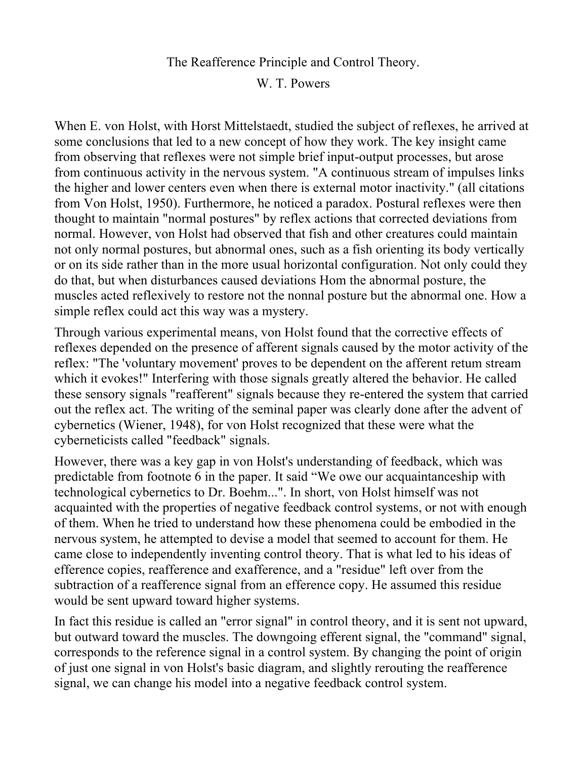## The Reafference Principle and Control Theory.

W. T. Powers

When E. von Holst, with Horst Mittelstaedt, studied the subject of reflexes, he arrived at some conclusions that led to a new concept of how they work. The key insight came from observing that reflexes were not simple brief input-output processes, but arose from continuous activity in the nervous system. "A continuous stream of impulses links the higher and lower centers even when there is external motor inactivity." (all citations from Von Holst, 1950). Furthermore, he noticed a paradox. Postural reflexes were then thought to maintain "normal postures" by reflex actions that corrected deviations from normal. However, von Holst had observed that fish and other creatures could maintain not only normal postures, but abnormal ones, such as a fish orienting its body vertically or on its side rather than in the more usual horizontal configuration. Not only could they do that, but when disturbances caused deviations Hom the abnormal posture, the muscles acted reflexively to restore not the nonnal posture but the abnormal one. How a simple reflex could act this way was a mystery.

Through various experimental means, von Holst found that the corrective effects of reflexes depended on the presence of afferent signals caused by the motor activity of the reflex: "The 'voluntary movement' proves to be dependent on the afferent retum stream which it evokes!" Interfering with those signals greatly altered the behavior. He called these sensory signals "reafferent" signals because they re-entered the system that carried out the reflex act. The writing of the seminal paper was clearly done after the advent of cybernetics (Wiener, 1948), for von Holst recognized that these were what the cyberneticists called "feedback" signals.

However, there was a key gap in von Holst's understanding of feedback, which was predictable from footnote 6 in the paper. It said "We owe our acquaintanceship with technological cybernetics to Dr. Boehm...". In short, von Holst himself was not acquainted with the properties of negative feedback control systems, or not with enough of them. When he tried to understand how these phenomena could be embodied in the nervous system, he attempted to devise a model that seemed to account for them. He came close to independently inventing control theory. That is what led to his ideas of efference copies, reafference and exafference, and a "residue" left over from the subtraction of a reafference signal from an efference copy. He assumed this residue would be sent upward toward higher systems.

In fact this residue is called an "error signal" in control theory, and it is sent not upward, but outward toward the muscles. The downgoing efferent signal, the "command" signal, corresponds to the reference signal in a control system. By changing the point of origin of just one signal in von Holst's basic diagram, and slightly rerouting the reafference signal, we can change his model into a negative feedback control system.